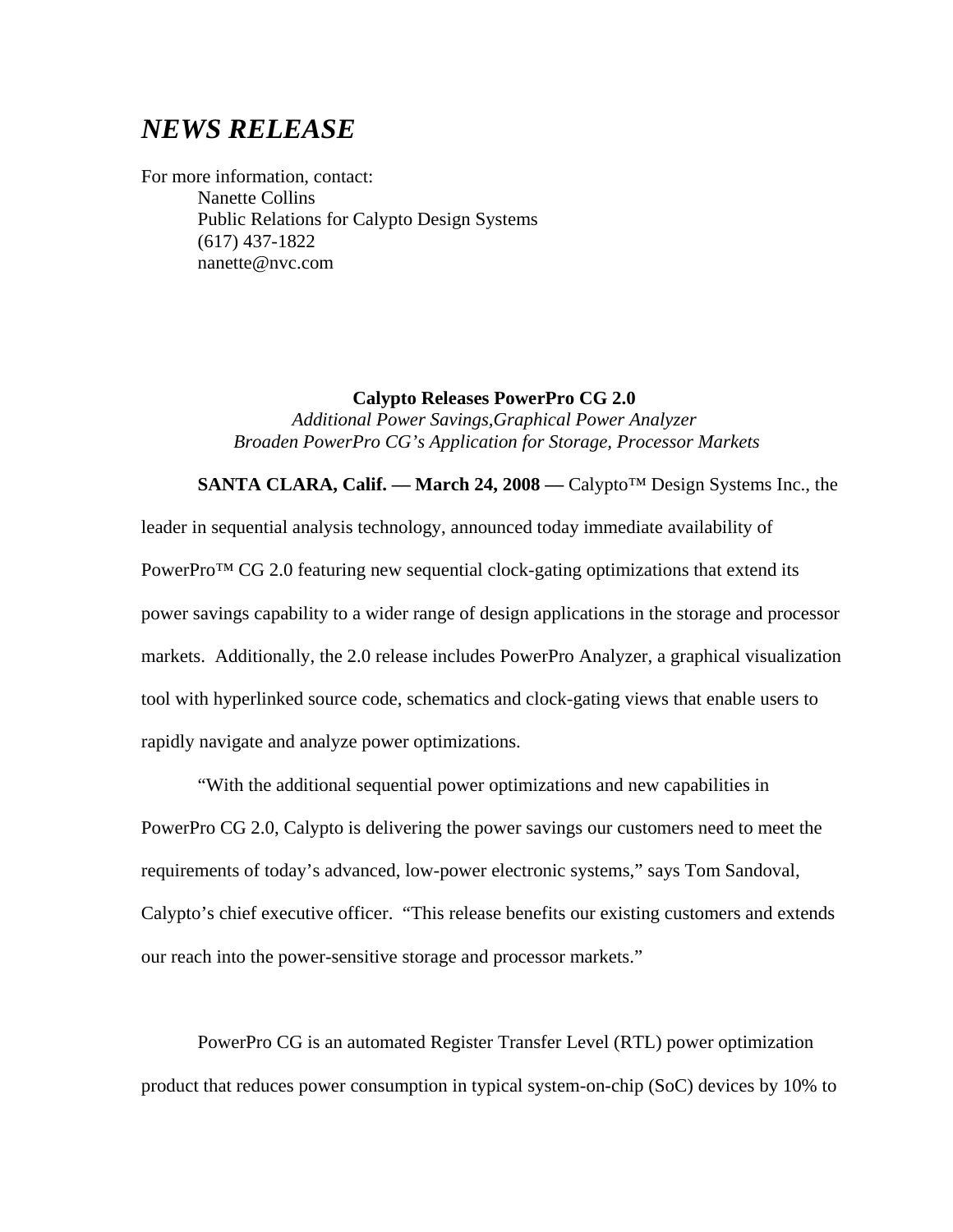## *NEWS RELEASE*

For more information, contact: Nanette Collins Public Relations for Calypto Design Systems (617) 437-1822 nanette@nvc.com

> **Calypto Releases PowerPro CG 2.0**  *Additional Power Savings,Graphical Power Analyzer Broaden PowerPro CG's Application for Storage, Processor Markets*

**SANTA CLARA, Calif. –– March 24, 2008 ––** Calypto™ Design Systems Inc., the leader in sequential analysis technology, announced today immediate availability of PowerPro<sup>™</sup> CG 2.0 featuring new sequential clock-gating optimizations that extend its power savings capability to a wider range of design applications in the storage and processor markets. Additionally, the 2.0 release includes PowerPro Analyzer, a graphical visualization tool with hyperlinked source code, schematics and clock-gating views that enable users to rapidly navigate and analyze power optimizations.

"With the additional sequential power optimizations and new capabilities in PowerPro CG 2.0, Calypto is delivering the power savings our customers need to meet the requirements of today's advanced, low-power electronic systems," says Tom Sandoval, Calypto's chief executive officer. "This release benefits our existing customers and extends our reach into the power-sensitive storage and processor markets."

PowerPro CG is an automated Register Transfer Level (RTL) power optimization product that reduces power consumption in typical system-on-chip (SoC) devices by 10% to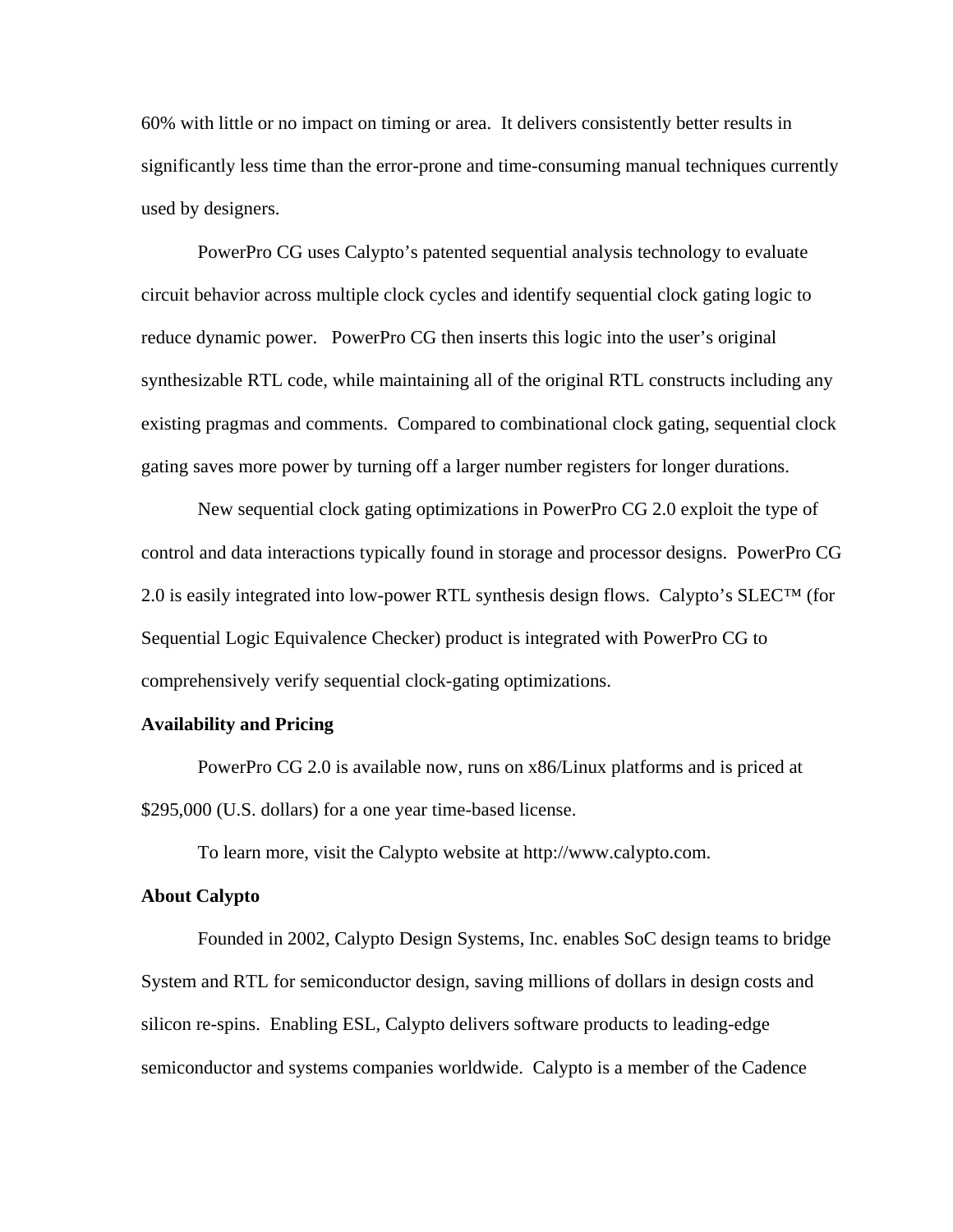60% with little or no impact on timing or area. It delivers consistently better results in significantly less time than the error-prone and time-consuming manual techniques currently used by designers.

PowerPro CG uses Calypto's patented sequential analysis technology to evaluate circuit behavior across multiple clock cycles and identify sequential clock gating logic to reduce dynamic power. PowerPro CG then inserts this logic into the user's original synthesizable RTL code, while maintaining all of the original RTL constructs including any existing pragmas and comments. Compared to combinational clock gating, sequential clock gating saves more power by turning off a larger number registers for longer durations.

New sequential clock gating optimizations in PowerPro CG 2.0 exploit the type of control and data interactions typically found in storage and processor designs. PowerPro CG 2.0 is easily integrated into low-power RTL synthesis design flows. Calypto's  $SLECTM$  (for Sequential Logic Equivalence Checker) product is integrated with PowerPro CG to comprehensively verify sequential clock-gating optimizations.

## **Availability and Pricing**

PowerPro CG 2.0 is available now, runs on x86/Linux platforms and is priced at \$295,000 (U.S. dollars) for a one year time-based license.

To learn more, visit the Calypto website a[t http://www.calypto.com](http://www.calypto.com/).

## **About Calypto**

Founded in 2002, Calypto Design Systems, Inc. enables SoC design teams to bridge System and RTL for semiconductor design, saving millions of dollars in design costs and silicon re-spins. Enabling ESL, Calypto delivers software products to leading-edge semiconductor and systems companies worldwide. Calypto is a member of the Cadence